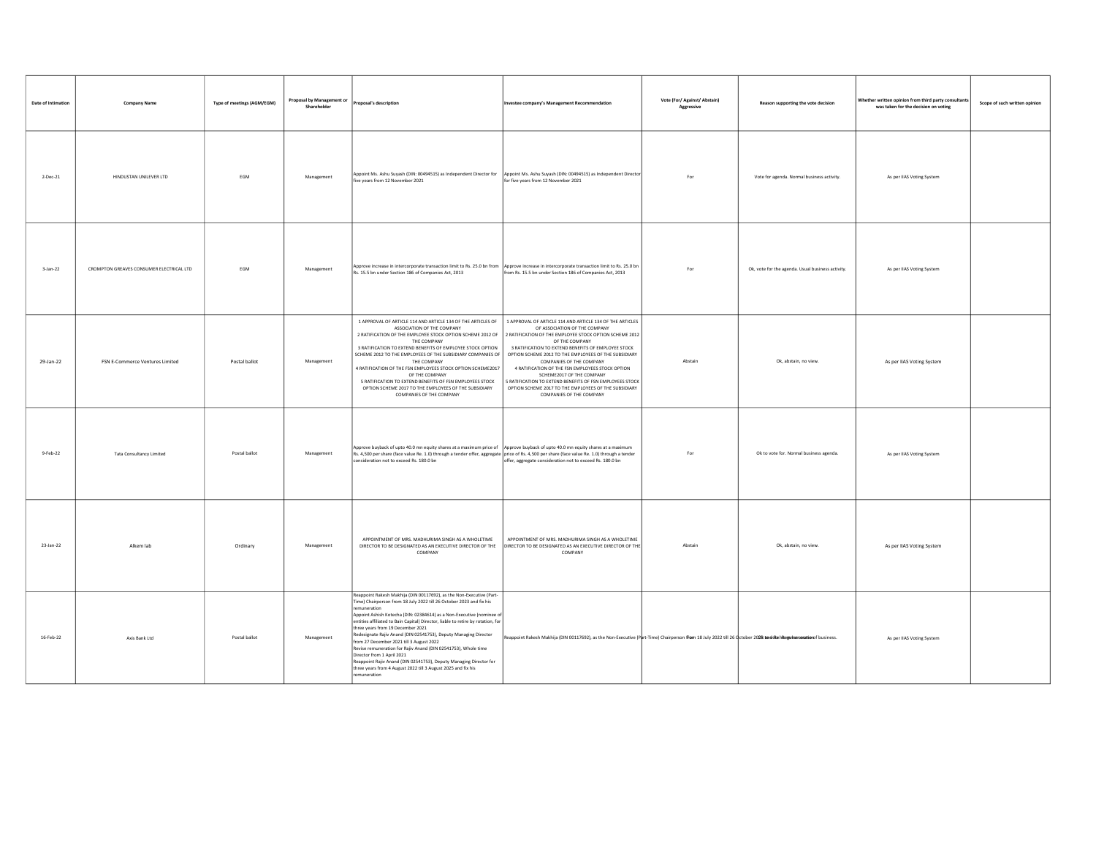| Date of Intimation | <b>Company Name</b>                      | Type of meetings (AGM/EGM) | Proposal by Management or<br>Shareholder | Proposal's description                                                                                                                                                                                                                                                                                                                                                                                                                                                                                                                                                                                                                                                                                                              | Investee company's Management Recommendation                                                                                                                                                                                                                                                                                                                                                                                                                                                                                                               | Vote (For/ Against/ Abstain)<br>Aggressive | Reason supporting the vote decision               | Whether written opinion from third party consultant<br>was taken for the decision on voting | Scope of such written opinion |
|--------------------|------------------------------------------|----------------------------|------------------------------------------|-------------------------------------------------------------------------------------------------------------------------------------------------------------------------------------------------------------------------------------------------------------------------------------------------------------------------------------------------------------------------------------------------------------------------------------------------------------------------------------------------------------------------------------------------------------------------------------------------------------------------------------------------------------------------------------------------------------------------------------|------------------------------------------------------------------------------------------------------------------------------------------------------------------------------------------------------------------------------------------------------------------------------------------------------------------------------------------------------------------------------------------------------------------------------------------------------------------------------------------------------------------------------------------------------------|--------------------------------------------|---------------------------------------------------|---------------------------------------------------------------------------------------------|-------------------------------|
| 2-Dec-21           | HINDUSTAN UNILEVER LTD                   | <b>FGM</b>                 | Management                               | Appoint Ms. Ashu Suyash (DIN: 00494515) as Independent Director for<br>five years from 12 November 2021                                                                                                                                                                                                                                                                                                                                                                                                                                                                                                                                                                                                                             | Appoint Ms. Ashu Suyash (DIN: 00494515) as Independent Director<br>for five years from 12 November 2021                                                                                                                                                                                                                                                                                                                                                                                                                                                    | For                                        | Vote for agenda. Normal business activity.        | As per IIAS Voting System                                                                   |                               |
| 3-Jan-22           | CROMPTON GREAVES CONSUMER ELECTRICAL LTD | EGM                        | Management                               | Approve increase in intercorporate transaction limit to Rs. 25.0 bn from<br>Rs. 15.5 bn under Section 186 of Companies Act, 2013                                                                                                                                                                                                                                                                                                                                                                                                                                                                                                                                                                                                    | Approve increase in intercorporate transaction limit to Rs. 25.0 bn<br>from Rs. 15.5 bn under Section 186 of Companies Act, 2013                                                                                                                                                                                                                                                                                                                                                                                                                           | For                                        | Ok, vote for the agenda. Usual business activity. | As per IIAS Voting System                                                                   |                               |
| 29-Jan-22          | FSN E-Commerce Ventures Limited          | Postal ballot              | Management                               | 1 APPROVAL OF ARTICLE 114 AND ARTICLE 134 OF THE ARTICLES OF<br>ASSOCIATION OF THE COMPANY<br>2 RATIFICATION OF THE EMPLOYEE STOCK OPTION SCHEME 2012 OF<br>THE COMPANY<br>3 RATIFICATION TO EXTEND BENEFITS OF EMPLOYEE STOCK OPTION<br>SCHEME 2012 TO THE EMPLOYEES OF THE SUBSIDIARY COMPANIES OF<br>THE COMPANY<br>4 RATIFICATION OF THE FSN EMPLOYEES STOCK OPTION SCHEME2017<br>OF THE COMPANY<br>5 RATIFICATION TO EXTEND BENEFITS OF FSN EMPLOYEES STOCK<br>OPTION SCHEME 2017 TO THE EMPLOYEES OF THE SUBSIDIARY<br>COMPANIES OF THE COMPANY                                                                                                                                                                               | 1 APPROVAL OF ARTICLE 114 AND ARTICLE 134 OF THE ARTICLES<br>OF ASSOCIATION OF THE COMPANY<br>2 RATIFICATION OF THE EMPLOYEE STOCK OPTION SCHEME 2012<br>OF THE COMPANY<br>3 RATIFICATION TO EXTEND BENEFITS OF EMPLOYEE STOCK<br>OPTION SCHEME 2012 TO THE EMPLOYEES OF THE SUBSIDIARY<br>COMPANIES OF THE COMPANY<br>4 RATIFICATION OF THE FSN EMPLOYEES STOCK OPTION<br>SCHEME2017 OF THE COMPANY<br>RATIFICATION TO EXTEND BENEFITS OF FSN EMPLOYEES STOCK<br>OPTION SCHEME 2017 TO THE EMPLOYEES OF THE SUBSIDIARY<br><b>COMPANIES OF THE COMPANY</b> | Abstain                                    | Ok, abstain, no view.                             | As per IIAS Voting System                                                                   |                               |
| $9-Feb-22$         | Tata Consultancy Limited                 | Postal ballot              | Management                               | Approve buyback of upto 40.0 mn equity shares at a maximum price of   Approve buyback of upto 40.0 mn equity shares at a maximum<br>Rs. 4,500 per share (face value Re. 1.0) through a tender offer, aggregate price of Rs. 4,500 per share (face value Re. 1.0) through a tender<br>consideration not to exceed Rs. 180.0 bn                                                                                                                                                                                                                                                                                                                                                                                                       | offer, aggregate consideration not to exceed Rs. 180.0 bn                                                                                                                                                                                                                                                                                                                                                                                                                                                                                                  | For                                        | Ok to vote for. Normal business agenda.           | As per IIAS Voting System                                                                   |                               |
| 23-Jan-22          | Alkem lab                                | Ordinary                   | Management                               | APPOINTMENT OF MRS. MADHURIMA SINGH AS A WHOLETIME<br>DIRECTOR TO BE DESIGNATED AS AN EXECUTIVE DIRECTOR OF THE<br>COMPANY                                                                                                                                                                                                                                                                                                                                                                                                                                                                                                                                                                                                          | APPOINTMENT OF MRS. MADHURIMA SINGH AS A WHOLETIME<br>DIRECTOR TO BE DESIGNATED AS AN EXECUTIVE DIRECTOR OF THE<br>COMPANY                                                                                                                                                                                                                                                                                                                                                                                                                                 | Abstain                                    | Ok, abstain, no view.                             | As per IIAS Voting System                                                                   |                               |
| 16-Feb-22          | Axis Bank Ltd                            | Postal ballot              | Management                               | Reappoint Rakesh Makhija (DIN 00117692), as the Non-Executive (Part-<br>Time) Chairperson from 18 July 2022 till 26 October 2023 and fix his<br>remuneration<br>Appoint Ashish Kotecha (DIN: 02384614) as a Non-Executive (nominee of<br>entities affiliated to Bain Capital) Director, liable to retire by rotation, for<br>three years from 19 December 2021<br>Redesignate Rajiv Anand (DIN 02541753), Deputy Managing Director<br>from 27 December 2021 till 3 August 2022<br>Revise remuneration for Rajiv Anand (DIN 02541753), Whole time<br>Director from 1 April 2021<br>Reappoint Rajiv Anand (DIN 02541753), Deputy Managing Director for<br>three years from 4 August 2022 till 3 August 2025 and fix his<br>muneration | Reappoint Rakesh Makhija (DIN 00117692), as the Non-Executive (Part-Time) Chairperson from 18 July 2022 till 26 October 2028 and diten Regular neation fusiness.                                                                                                                                                                                                                                                                                                                                                                                           |                                            |                                                   | As per IIAS Voting System                                                                   |                               |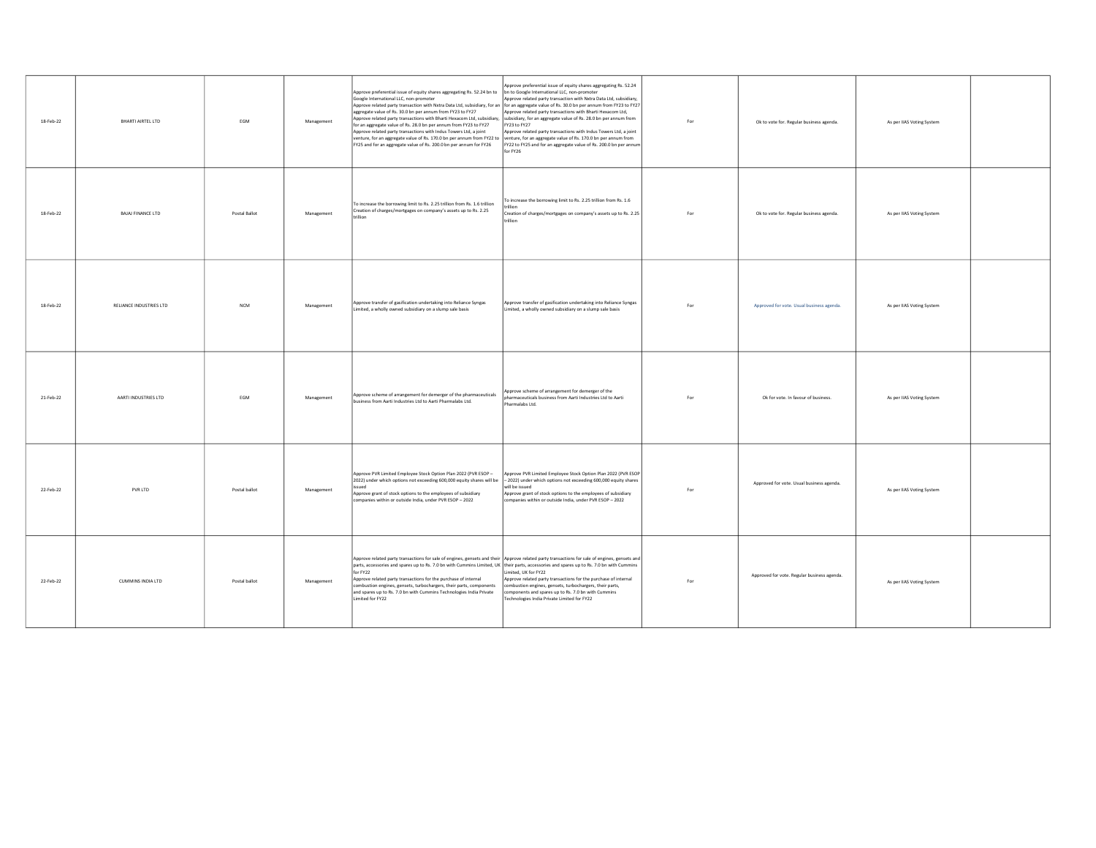| 18-Feb-22 | <b>BHARTI AIRTEL LTD</b> | EGM           | Management | Approve preferential issue of equity shares aggregating Rs. 52.24 bn to bn to Google International LLC, non-promoter<br>Google International LLC, non-promoter<br>Approve related party transaction with Nxtra Data Ltd, subsidiary, for an of or an aggregate value of Rs. 30.0 bn per annum from FY23 to FY27<br>aggregate value of Rs. 30.0 bn per annum from FY23 to FY27<br>Approve related party transactions with Bharti Hexacom Ltd, subsidiary,  subsidiary, for an aggregate value of Rs. 28.0 bn per annum from<br>for an aggregate value of Rs. 28.0 bn per annum from FY23 to FY27<br>Approve related party transactions with Indus Towers Ltd, a joint<br>venture, for an aggregate value of Rs. 170.0 bn per annum from FY22 to venture, for an aggregate value of Rs. 170.0 bn per annum from<br>FY25 and for an aggregate value of Rs. 200.0 bn per annum for FY26 | opprove preferential issue of equity shares aggregating Rs. 52.24<br>Approve related party transaction with Nxtra Data Ltd, subsidiary,<br>Approve related party transactions with Bharti Hexacom Ltd,<br>FY23 to FY27<br>Approve related party transactions with Indus Towers Ltd, a joint<br>FY22 to FY25 and for an aggregate value of Rs. 200.0 bn per annum<br>for FY26 | For | Ok to vote for. Regular business agenda.    | As per IIAS Voting System |  |
|-----------|--------------------------|---------------|------------|-------------------------------------------------------------------------------------------------------------------------------------------------------------------------------------------------------------------------------------------------------------------------------------------------------------------------------------------------------------------------------------------------------------------------------------------------------------------------------------------------------------------------------------------------------------------------------------------------------------------------------------------------------------------------------------------------------------------------------------------------------------------------------------------------------------------------------------------------------------------------------------|------------------------------------------------------------------------------------------------------------------------------------------------------------------------------------------------------------------------------------------------------------------------------------------------------------------------------------------------------------------------------|-----|---------------------------------------------|---------------------------|--|
| 18-Feb-22 | <b>BAJAI FINANCE LTD</b> | Postal Ballot | Management | To increase the borrowing limit to Rs. 2.25 trillion from Rs. 1.6 trillion<br>Creation of charges/mortgages on company's assets up to Rs. 2.25<br>rillion                                                                                                                                                                                                                                                                                                                                                                                                                                                                                                                                                                                                                                                                                                                           | To increase the borrowing limit to Rs. 2.25 trillion from Rs. 1.6<br>Creation of charges/mortgages on company's assets up to Rs. 2.25<br>trillion                                                                                                                                                                                                                            | For | Ok to vote for. Regular business agenda.    | As per IIAS Voting System |  |
| 18-Feb-22 | RELIANCE INDUSTRIES LTD  | <b>NCM</b>    | Management | Approve transfer of gasification undertaking into Reliance Syngas<br>Limited, a wholly owned subsidiary on a slump sale basis                                                                                                                                                                                                                                                                                                                                                                                                                                                                                                                                                                                                                                                                                                                                                       | Approve transfer of gasification undertaking into Reliance Syngas<br>imited, a wholly owned subsidiary on a slump sale basis                                                                                                                                                                                                                                                 | For | Approved for vote. Usual business agenda.   | As per IIAS Voting System |  |
| 21-Feb-22 | AARTI INDUSTRIES LTD     | EGM           | Management | Approve scheme of arrangement for demerger of the pharmaceuticals<br>business from Aarti Industries Ltd to Aarti Pharmalabs Ltd.                                                                                                                                                                                                                                                                                                                                                                                                                                                                                                                                                                                                                                                                                                                                                    | opprove scheme of arrangement for demerger of the<br>pharmaceuticals business from Aarti Industries Ltd to Aarti<br>Pharmalabs Ltd.                                                                                                                                                                                                                                          | For | Ok for vote. In favour of business.         | As per IIAS Voting System |  |
| 22-Feb-22 | PVR LTD                  | Postal ballot | Management | Approve PVR Limited Employee Stock Option Plan 2022 (PVR ESOP -<br>2022) under which options not exceeding 600,000 equity shares will be<br>heuz<br>Approve grant of stock options to the employees of subsidiary<br>companies within or outside India, under PVR ESOP - 2022                                                                                                                                                                                                                                                                                                                                                                                                                                                                                                                                                                                                       | Approve PVR Limited Employee Stock Option Plan 2022 (PVR ESOP<br>2022) under which options not exceeding 600,000 equity shares<br>will be issued<br>Approve grant of stock options to the employees of subsidiary<br>companies within or outside India, under PVR ESOP - 2022                                                                                                | For | Approved for vote. Usual business agenda.   | As per IIAS Voting System |  |
| 22-Feb-22 | CUMMINS INDIA LTD        | Postal ballot | Management | Approve related party transactions for sale of engines, gensets and their Approve related party transactions for sale of engines, gensets and<br>parts, accessories and spares up to Rs. 7.0 bn with Cummins Limited, UK their parts, accessories and spares up to Rs. 7.0 bn with Cummins<br>for FY22<br>Approve related party transactions for the purchase of internal<br>combustion engines, gensets, turbochargers, their parts, components<br>and spares up to Rs. 7.0 bn with Cummins Technologies India Private<br>Limited for FY22                                                                                                                                                                                                                                                                                                                                         | imited, UK for FY22<br>Approve related party transactions for the purchase of internal<br>combustion engines, gensets, turbochargers, their parts,<br>components and spares up to Rs. 7.0 bn with Cummins<br>echnologies India Private Limited for FY22                                                                                                                      | For | Approved for vote. Regular business agenda. | As per IIAS Voting System |  |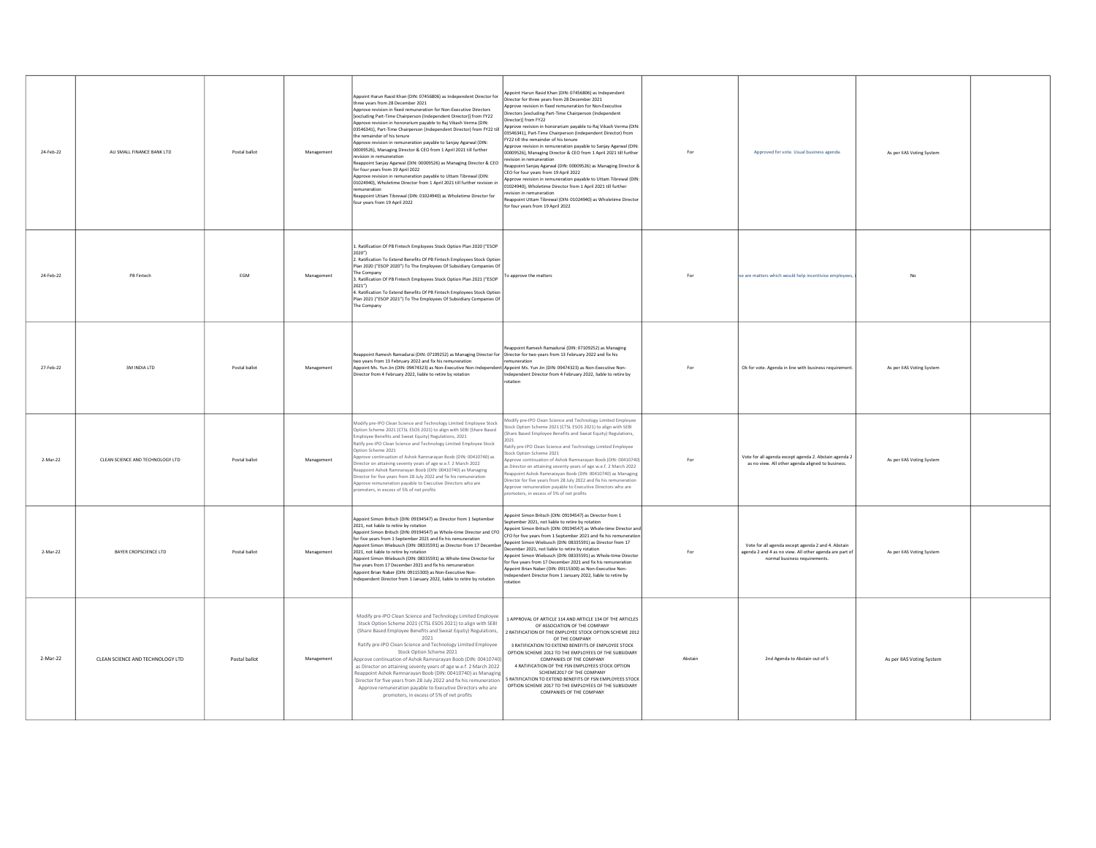| 24-Feb-22 | AU SMALL FINANCE BANK LTD        | Postal ballot | Management | Appoint Harun Rasid Khan (DIN: 07456806) as Independent Director for<br>three years from 28 December 2021<br>Annrove revision in fixed remuneration for Non-Executive Directors<br>[excluding Part-Time Chairperson (Independent Director)] from FY22<br>Approve revision in honorarium pavable to Rai Vikash Verma (DIN:<br>03546341), Part-Time Chairperson (Independent Director) from FY22 till<br>the remainder of his tenure<br>Approve revision in remuneration payable to Sanjay Agarwal (DIN:<br>00009526), Managing Director & CEO from 1 April 2021 till further<br>evision in remuneration<br>eappoint Sanjay Agarwal (DIN: 00009526) as Managing Director & CEO<br>for four years from 19 April 2022<br>Approve revision in remuneration pavable to Uttam Tibrewal (DIN:<br>01024940). Wholetime Director from 1 April 2021 till further revision in<br>emuneration<br>Reappoint Uttam Tibrewal (DIN: 01024940) as Wholetime Director for<br>four years from 19 April 2022 | Appoint Harun Rasid Khan (DIN: 07456806) as Independent<br>Director for three years from 28 December 2021<br>rove revision in fixed remuneration for Non-Executive<br>irectors [excluding Part-Time Chairperson (Independent<br>irector)] from FY22<br>Approve revision in honorarium payable to Raj Vikash Verma (DIN:<br>03546341). Part-Time Chairperson (Independent Director) from<br>FY22 till the remainder of his tenure<br>porove revision in remuneration pavable to Saniav Agarwal (DIN:<br>00009526), Managing Director & CEO from 1 April 2021 till further<br>revision in remuneration<br>eappoint Sanjay Agarwal (DIN: 00009526) as Managing Director &<br>CEO for four years from 19 April 2022<br>prove revision in remuneration payable to Uttam Tibrewal (DIN:<br>01024940), Wholetime Director from 1 April 2021 till further<br>vision in remuneration<br>eappoint Uttam Tibrewal (DIN: 01024940) as Wholetime Director<br>or four years from 19 April 2022 | For     | Approved for vote. Usual business agenda.                                                                                                     | As per IIAS Voting System |  |
|-----------|----------------------------------|---------------|------------|-----------------------------------------------------------------------------------------------------------------------------------------------------------------------------------------------------------------------------------------------------------------------------------------------------------------------------------------------------------------------------------------------------------------------------------------------------------------------------------------------------------------------------------------------------------------------------------------------------------------------------------------------------------------------------------------------------------------------------------------------------------------------------------------------------------------------------------------------------------------------------------------------------------------------------------------------------------------------------------------|----------------------------------------------------------------------------------------------------------------------------------------------------------------------------------------------------------------------------------------------------------------------------------------------------------------------------------------------------------------------------------------------------------------------------------------------------------------------------------------------------------------------------------------------------------------------------------------------------------------------------------------------------------------------------------------------------------------------------------------------------------------------------------------------------------------------------------------------------------------------------------------------------------------------------------------------------------------------------------|---------|-----------------------------------------------------------------------------------------------------------------------------------------------|---------------------------|--|
| 24-Feb-22 | PB Fintech                       | EGM           | Management | L. Ratification Of PB Fintech Employees Stock Option Plan 2020 ("ESOP<br>2020")<br>2. Ratification To Extend Benefits Of PB Fintech Employees Stock Option<br>Plan 2020 ("ESOP 2020") To The Employees Of Subsidiary Companies Of<br>The Company<br>3. Ratification Of PB Fintech Employees Stock Option Plan 2021 ("ESOP<br>2021")<br>1. Ratification To Extend Benefits Of PB Fintech Employees Stock Option<br>Plan 2021 ("ESOP 2021") To The Employees Of Subsidiary Companies Of<br>The Company                                                                                                                                                                                                                                                                                                                                                                                                                                                                                    | o approve the matters                                                                                                                                                                                                                                                                                                                                                                                                                                                                                                                                                                                                                                                                                                                                                                                                                                                                                                                                                            | For     | se are matters which would help incentivise employees                                                                                         | <b>No</b>                 |  |
| 27-Feb-22 | 3M INDIA LTD                     | Postal ballot | Management | Reappoint Ramesh Ramadurai (DIN: 07109252) as Managing Director for Director for two years from 13 February 2022 and fix his<br>two years from 13 February 2022 and fix his remuneration<br>Appoint Ms. Yun Jin (DIN: 09474323) as Non-Executive Non-Indepe<br>Director from 4 February 2022, liable to retire by rotation                                                                                                                                                                                                                                                                                                                                                                                                                                                                                                                                                                                                                                                              | eappoint Ramesh Ramadurai (DIN: 07109252) as Managing<br>emuneration<br>Appoint Ms. Yun Jin (DIN: 09474323) as Non-Executive Non-<br>ndependent Director from 4 February 2022, liable to retire by<br>otation                                                                                                                                                                                                                                                                                                                                                                                                                                                                                                                                                                                                                                                                                                                                                                    | For     | Ok for vote. Agenda in line with business requirement                                                                                         | As per IIAS Voting System |  |
| 2-Mar-22  | CLEAN SCIENCE AND TECHNOLOGY LTD | Postal hallot | Management | Modify pre-IPO Clean Science and Technology Limited Employee Stock<br>Option Scheme 2021 (CTSL ESOS 2021) to align with SEBI (Share Based<br>mployee Benefits and Sweat Equity) Regulations, 2021<br>Ratify pre-IPO Clean Science and Technology Limited Employee Stock<br>ption Scheme 2021<br>Approve continuation of Ashok Ramnarayan Boob (DIN: 00410740) as<br>Director on attaining seventy years of age w.e.f. 2 March 2022<br>eappoint Ashok Ramnarayan Boob (DIN: 00410740) as Managing<br>lirector for five years from 28 July 2022 and fix his remuneration<br>pprove remuneration payable to Executive Directors who are<br>omoters, in excess of 5% of net profits                                                                                                                                                                                                                                                                                                         | lodify pre-IPO Clean Science and Technology Limited Employee<br>ock Option Scheme 2021 (CTSL ESOS 2021) to align with SEBI<br>Share Based Employee Benefits and Sweat Equity) Regulations,<br>Ratify pre-IPO Clean Science and Technology Limited Employee<br>ock Option Scheme 2021<br>orove continuation of Ashok Ramnaravan Boob (DIN: 00410740<br>s Director on attaining seventy years of age w.e.f. 2 March 2022<br>ppoint Ashok Ramnarayan Boob (DIN: 00410740) as Managing<br>irector for five years from 28 July 2022 and fix his remuneration<br>opprove remuneration payable to Executive Directors who are<br>omoters, in excess of 5% of net profits                                                                                                                                                                                                                                                                                                                | Enr     | Vote for all agenda except agenda 2. Abstain agenda 2<br>as no view. All other agenda aligned to business.                                    | As per IIAS Voting System |  |
| 2-Mar-22  | BAYER CROPSCIENCE LTD            | Postal ballot | Management | Appoint Simon Britsch (DIN: 09194547) as Director from 1 September<br>2021, not liable to retire by rotation<br>Appoint Simon Britsch (DIN: 09194547) as Whole-time Director and CFO<br>for five years from 1 September 2021 and fix his remuneration<br>Appoint Simon Wiebusch (DIN: 08335591) as Director from 17 December<br>2021, not liable to retire by rotation<br>Appoint Simon Wiebusch (DIN: 08335591) as Whole-time Director for<br>five vears from 17 December 2021 and fix his remuneration<br>Appoint Brian Naber (DIN: 09115300) as Non-Executive Non-<br>Independent Director from 1 January 2022, liable to retire by rotation                                                                                                                                                                                                                                                                                                                                         | Appoint Simon Britsch (DIN: 09194547) as Director from 1<br>September 2021, not liable to retire by rotation<br>unnoint Simon Britsch (DIN: 09194547) as Whole-time Director an<br>CFO for five years from 1 September 2021 and fix his remuneration<br>Appoint Simon Wiebusch (DIN: 08335591) as Director from 17<br>December 2021, not liable to retire by rotation<br>point Simon Wiebusch (DIN: 08335591) as Whole-time Director<br>or five years from 17 December 2021 and fix his remuneration<br>ppoint Brian Naber (DIN: 09115300) as Non-Executive Non-<br>ndependent Director from 1 January 2022, liable to retire by<br>tation                                                                                                                                                                                                                                                                                                                                       | For     | Vote for all agenda except agenda 2 and 4. Abstain<br>agenda 2 and 4 as no view. All other agenda are part of<br>normal business requirements | As per IIAS Voting System |  |
| 2-Mar-22  | CLEAN SCIENCE AND TECHNOLOGY LTD | Postal ballot | Management | Modify pre-IPO Clean Science and Technology Limited Employee<br>Stock Option Scheme 2021 (CTSL ESOS 2021) to align with SEBI<br>(Share Based Employee Benefits and Sweat Equity) Regulations,<br>2021<br>Ratify pre-IPO Clean Science and Technology Limited Employee<br>Stock Option Scheme 2021<br>pprove continuation of Ashok Ramnarayan Boob (DIN: 00410740)<br>as Director on attaining seventy years of age w.e.f. 2 March 2022<br>Reappoint Ashok Ramnaravan Boob (DIN: 00410740) as Managing<br>Director for five years from 28 July 2022 and fix his remuneration<br>Approve remuneration payable to Executive Directors who are<br>promoters, in excess of 5% of net profits                                                                                                                                                                                                                                                                                                 | 1 APPROVAL OF ARTICLE 114 AND ARTICLE 134 OF THE ARTICLES<br>OF ASSOCIATION OF THE COMPANY<br>2 RATIFICATION OF THE EMPLOYEE STOCK OPTION SCHEME 2012<br>OF THE COMPANY<br>3 RATIFICATION TO EXTEND BENEFITS OF EMPLOYEE STOCK<br>OPTION SCHEME 2012 TO THE EMPLOYEES OF THE SUBSIDIARY<br>COMPANIES OF THE COMPANY<br>4 RATIFICATION OF THE FSN EMPLOYEES STOCK OPTION<br>SCHEME2017 OF THE COMPANY<br>RATIFICATION TO EXTEND BENEFITS OF FSN EMPLOYEES STOCK<br>OPTION SCHEME 2017 TO THE EMPLOYEES OF THE SUBSIDIARY<br>COMPANIES OF THE COMPANY                                                                                                                                                                                                                                                                                                                                                                                                                              | Ahstain | 2nd Agenda to Abstain out of 5                                                                                                                | As per IIAS Voting System |  |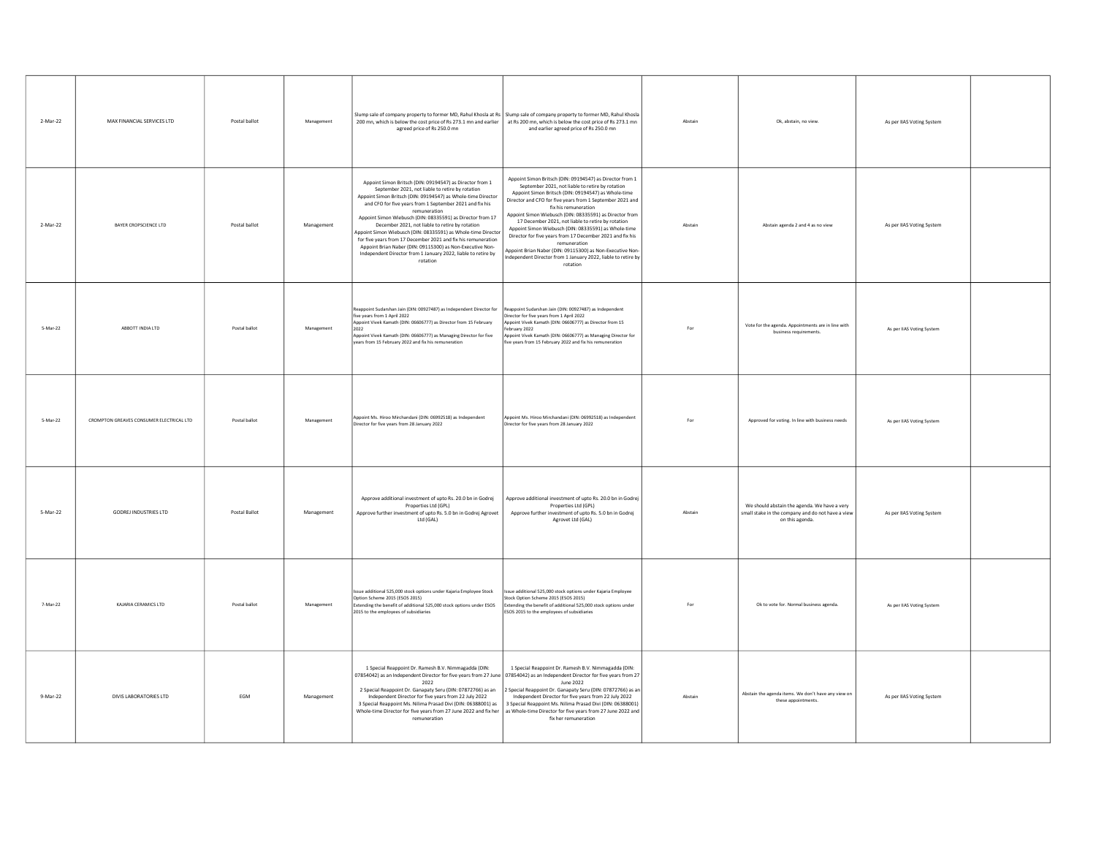| 2-Mar-22 | MAX FINANCIAL SERVICES LTD               | Postal ballot | Management | Slump sale of company property to former MD, Rahul Khosla at Rs   Slump sale of company property to former MD, Rahul Khosla<br>200 mn, which is below the cost price of Rs 273.1 mn and earlier<br>agreed price of Rs 250.0 mn                                                                                                                                                                                                                                                                                                                                                                                                                        | at Rs 200 mn, which is below the cost price of Rs 273.1 mn<br>and earlier agreed price of Rs 250.0 mn                                                                                                                                                                                                                                                                                                                                                                                                                                                                                                                                                    | Abstain | Ok, abstain, no view.                                                                                                | As per IIAS Voting System |  |
|----------|------------------------------------------|---------------|------------|-------------------------------------------------------------------------------------------------------------------------------------------------------------------------------------------------------------------------------------------------------------------------------------------------------------------------------------------------------------------------------------------------------------------------------------------------------------------------------------------------------------------------------------------------------------------------------------------------------------------------------------------------------|----------------------------------------------------------------------------------------------------------------------------------------------------------------------------------------------------------------------------------------------------------------------------------------------------------------------------------------------------------------------------------------------------------------------------------------------------------------------------------------------------------------------------------------------------------------------------------------------------------------------------------------------------------|---------|----------------------------------------------------------------------------------------------------------------------|---------------------------|--|
| 2-Mar-22 | BAYER CROPSCIENCE LTD                    | Postal ballot | Management | Appoint Simon Britsch (DIN: 09194547) as Director from 1<br>September 2021, not liable to retire by rotation<br>Appoint Simon Britsch (DIN: 09194547) as Whole-time Director<br>and CFO for five years from 1 September 2021 and fix his<br>remuneration<br>Appoint Simon Wiebusch (DIN: 08335591) as Director from 17<br>December 2021, not liable to retire by rotation<br>Appoint Simon Wiebusch (DIN: 08335591) as Whole-time Director<br>for five years from 17 December 2021 and fix his remuneration<br>Appoint Brian Naber (DIN: 09115300) as Non-Executive Non-<br>Independent Director from 1 January 2022, liable to retire by<br>rotation | Appoint Simon Britsch (DIN: 09194547) as Director from 1<br>September 2021, not liable to retire by rotation<br>Appoint Simon Britsch (DIN: 09194547) as Whole-time<br>Director and CFO for five years from 1 September 2021 and<br>fix his remuneration<br>Appoint Simon Wiebusch (DIN: 08335591) as Director from<br>17 December 2021, not liable to retire by rotation<br>Appoint Simon Wiebusch (DIN: 08335591) as Whole-time<br>Director for five years from 17 December 2021 and fix his<br>remuneration<br>Appoint Brian Naber (DIN: 09115300) as Non-Executive Non-<br>Independent Director from 1 January 2022, liable to retire by<br>rotation | Abstain | Abstain agenda 2 and 4 as no view                                                                                    | As per IIAS Voting System |  |
| 5-Mar-22 | ABBOTT INDIA LTD                         | Postal ballot | Management | Reappoint Sudarshan Jain (DIN: 00927487) as Independent Director for<br>five years from 1 April 2022<br>Appoint Vivek Kamath (DIN: 06606777) as Director from 15 February<br>2022<br>Appoint Vivek Kamath (DIN: 06606777) as Managing Director for five<br>vears from 15 February 2022 and fix his remuneration                                                                                                                                                                                                                                                                                                                                       | leappoint Sudarshan Jain (DIN: 00927487) as Independent<br>Director for five years from 1 April 2022<br>Appoint Vivek Kamath (DIN: 06606777) as Director from 15<br>ehruary 2022<br>ppoint Vivek Kamath (DIN: 06606777) as Managing Director for<br>five years from 15 February 2022 and fix his remuneration                                                                                                                                                                                                                                                                                                                                            | For     | Vote for the agenda. Appointments are in line with<br>business requirements.                                         | As per IIAS Voting System |  |
| 5-Mar-22 | CROMPTON GREAVES CONSUMER ELECTRICAL LTD | Postal ballot | Management | Appoint Ms. Hiroo Mirchandani (DIN: 06992518) as Independent<br>Director for five years from 28 January 2022                                                                                                                                                                                                                                                                                                                                                                                                                                                                                                                                          | Appoint Ms. Hiroo Mirchandani (DIN: 06992518) as Independent<br>Director for five years from 28 January 2022                                                                                                                                                                                                                                                                                                                                                                                                                                                                                                                                             | For     | Approved for voting. In line with business needs                                                                     | As per IIAS Voting System |  |
| 5-Mar-22 | GODREJ INDUSTRIES LTD                    | Postal Ballot | Management | Approve additional investment of upto Rs. 20.0 bn in Godrej<br>Properties Ltd (GPL)<br>Approve further investment of upto Rs. 5.0 bn in Godrej Agrovet<br>Ltd (GAL)                                                                                                                                                                                                                                                                                                                                                                                                                                                                                   | Approve additional investment of upto Rs. 20.0 bn in Godrej<br>Properties Ltd (GPL)<br>Approve further investment of upto Rs. 5.0 bn in Godrej<br>Agrovet Ltd (GAL)                                                                                                                                                                                                                                                                                                                                                                                                                                                                                      | Abstain | We should abstain the agenda. We have a very<br>small stake in the company and do not have a view<br>on this agenda. | As per IIAS Voting System |  |
| 7-Mar-22 | KAJARIA CERAMICS LTD                     | Postal ballot | Management | Issue additional 525,000 stock options under Kajaria Employee Stock<br>Option Scheme 2015 (ESOS 2015)<br>Extending the benefit of additional 525,000 stock options under ESOS<br>2015 to the employees of subsidiaries                                                                                                                                                                                                                                                                                                                                                                                                                                | sue additional 525,000 stock options under Kajaria Employee<br>tock Option Scheme 2015 (ESOS 2015)<br>Extending the benefit of additional 525,000 stock options under<br>ESOS 2015 to the employees of subsidiaries                                                                                                                                                                                                                                                                                                                                                                                                                                      | For     | Ok to vote for. Normal business agenda.                                                                              | As per IIAS Voting System |  |
| 9-Mar-22 | DIVIS LABORATORIES LTD                   | EGM           | Management | 1 Special Reappoint Dr. Ramesh B.V. Nimmagadda (DIN:<br>07854042) as an Independent Director for five years from 27 June 07854042) as an Independent Director for five years from 27<br>2022<br>2 Special Reappoint Dr. Ganapaty Seru (DIN: 07872766) as an<br>Independent Director for five years from 22 July 2022<br>3 Special Reappoint Ms. Nilima Prasad Divi (DIN: 06388001) as<br>Whole-time Director for five years from 27 June 2022 and fix her<br>remuneration                                                                                                                                                                             | 1 Special Reappoint Dr. Ramesh B.V. Nimmagadda (DIN:<br>June 2022<br>2 Special Reappoint Dr. Ganapaty Seru (DIN: 07872766) as an<br>Independent Director for five years from 22 July 2022<br>3 Special Reappoint Ms. Nilima Prasad Divi (DIN: 06388001)<br>as Whole-time Director for five years from 27 June 2022 and<br>fix her remuneration                                                                                                                                                                                                                                                                                                           | Abstain | Abstain the agenda items. We don't have any view on<br>these appointments                                            | As per IIAS Voting System |  |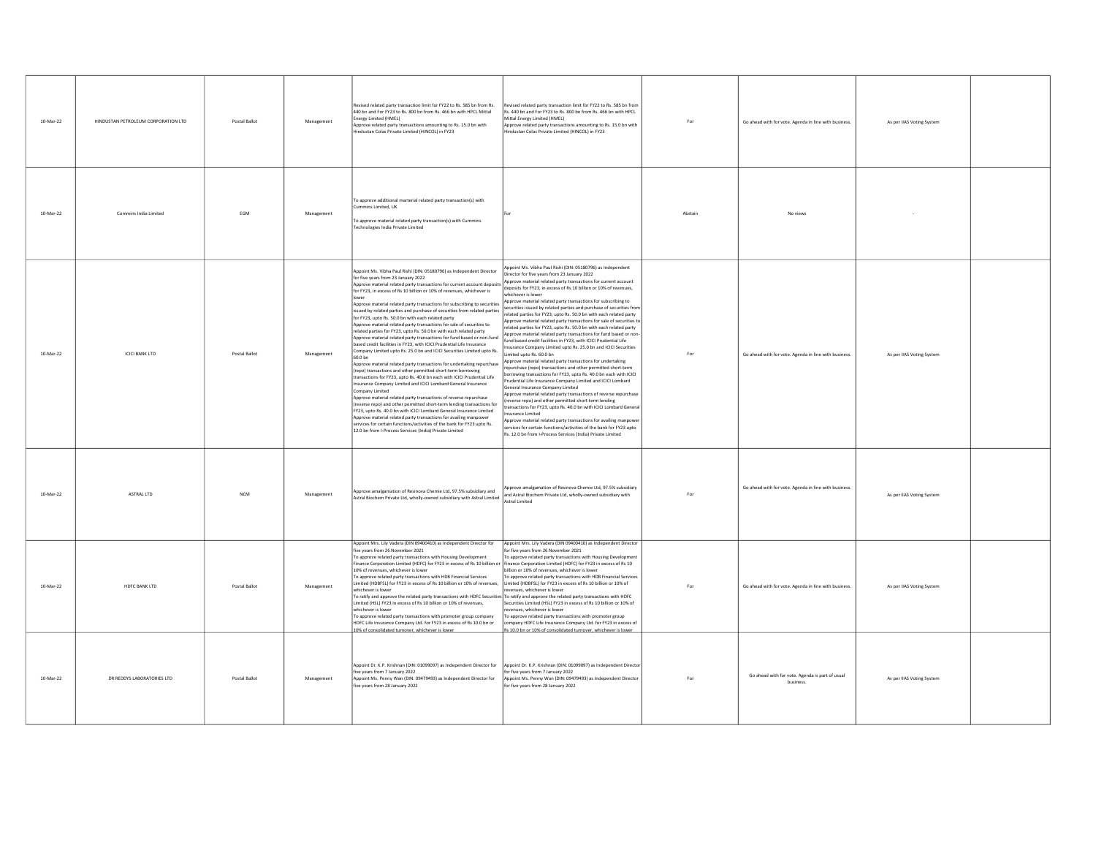| 10-Mar-22 | HINDUSTAN PETROLEUM CORPORATION LTD | Postal Ballot | Management | Revised related party transaction limit for FY22 to Rs. 585 bn from Rs.<br>440 bn and For FY23 to Rs. 800 bn from Rs. 466 bn with HPCL Mittal<br>Energy Limited (HMEL)<br>Approve related party transactions amounting to Rs. 15.0 bn with<br>Industan Colas Private Limited (HINCOL) in FY23                                                                                                                                                                                                                                                                                                                                                                                                                                                                                                                                                                                                                                                                                                                                                                                                                                                                                                                                                                                                                                                                                                                                                                                                                                                                                                                  | evised related party transaction limit for FY22 to Rs. 585 bn from<br>s. 440 bn and For FY23 to Rs. 800 bn from Rs. 466 bn with HPCL<br>Mittal Energy Limited (HMEL)<br>Approve related party transactions amounting to Rs. 15.0 bn with<br>industan Colas Private Limited (HINCOL) in FY23                                                                                                                                                                                                                                                                                                                                                                                                                                                                                                                                                                                                                                                                                                                                                                                                                                                                                                                                                                                                                                                                                                                                                                                                                                                                                                    | For     | Go ahead with for vote. Agenda in line with business.        | As per IIAS Voting System |  |
|-----------|-------------------------------------|---------------|------------|----------------------------------------------------------------------------------------------------------------------------------------------------------------------------------------------------------------------------------------------------------------------------------------------------------------------------------------------------------------------------------------------------------------------------------------------------------------------------------------------------------------------------------------------------------------------------------------------------------------------------------------------------------------------------------------------------------------------------------------------------------------------------------------------------------------------------------------------------------------------------------------------------------------------------------------------------------------------------------------------------------------------------------------------------------------------------------------------------------------------------------------------------------------------------------------------------------------------------------------------------------------------------------------------------------------------------------------------------------------------------------------------------------------------------------------------------------------------------------------------------------------------------------------------------------------------------------------------------------------|------------------------------------------------------------------------------------------------------------------------------------------------------------------------------------------------------------------------------------------------------------------------------------------------------------------------------------------------------------------------------------------------------------------------------------------------------------------------------------------------------------------------------------------------------------------------------------------------------------------------------------------------------------------------------------------------------------------------------------------------------------------------------------------------------------------------------------------------------------------------------------------------------------------------------------------------------------------------------------------------------------------------------------------------------------------------------------------------------------------------------------------------------------------------------------------------------------------------------------------------------------------------------------------------------------------------------------------------------------------------------------------------------------------------------------------------------------------------------------------------------------------------------------------------------------------------------------------------|---------|--------------------------------------------------------------|---------------------------|--|
| 10-Mar-22 | Cummins India Limited               | <b>FGM</b>    | Management | To approve additional marterial related party transaction(s) with<br>nmins Limited, UK<br>To approve material related party transaction(s) with Cummins<br>Fechnologies India Private Limited                                                                                                                                                                                                                                                                                                                                                                                                                                                                                                                                                                                                                                                                                                                                                                                                                                                                                                                                                                                                                                                                                                                                                                                                                                                                                                                                                                                                                  |                                                                                                                                                                                                                                                                                                                                                                                                                                                                                                                                                                                                                                                                                                                                                                                                                                                                                                                                                                                                                                                                                                                                                                                                                                                                                                                                                                                                                                                                                                                                                                                                | Ahstain | No views                                                     |                           |  |
| 10-Mar-22 | <b>ICICI BANK LTD</b>               | Postal Ballot | Management | Appoint Ms. Vibha Paul Rishi (DIN: 05180796) as Independent Director<br>for five years from 23 January 2022<br>Approve material related party transactions for current account deposits<br>for FY23, in excess of Rs 10 billion or 10% of revenues, whichever is<br>Approve material related party transactions for subscribing to securities<br>issued by related parties and purchase of securities from related parties<br>for FY23, upto Rs. 50.0 bn with each related party<br>Approve material related party transactions for sale of securities to<br>related parties for FY23, upto Rs. 50.0 bn with each related party<br>pprove material related party transactions for fund based or non-fund<br>based credit facilities in FY23, with ICICI Prudential Life Insurance<br>Company Limited upto Rs. 25.0 bn and ICICI Securities Limited upto Rs.<br>60.0 bn<br>Approve material related party transactions for undertaking repurchase<br>(repo) transactions and other permitted short-term borrowing<br>transactions for FY23, upto Rs. 40.0 bn each with ICICI Prudential Life<br>Insurance Company Limited and ICICI Lombard General Insurance<br>Company Limited<br>Approve material related party transactions of reverse repurchase<br>reverse repo) and other permitted short-term lending transactions for<br>EY23 unto Rs. 40.0 bn with ICICLI ombard General Insurance Limited<br>Approve material related party transactions for availing manpower<br>services for certain functions/activities of the bank for FY23 upto Rs.<br>12.0 bn from I-Process Services (India) Private Limited | ppoint Ms. Vibha Paul Rishi (DIN: 05180796) as Independent<br>Director for five years from 23 January 2022<br>oprove material related party transactions for current account<br>leposits for FY23, in excess of Rs 10 billion or 10% of revenues,<br>ichever is lower<br>pprove material related party transactions for subscribing to<br>ecurities issued by related parties and purchase of securities fron<br>elated parties for FY23, upto Rs. 50.0 bn with each related party<br>pprove material related party transactions for sale of securities to<br>elated parties for FY23, upto Rs. 50.0 bn with each related party<br>pprove material related party transactions for fund based or non-<br>und based credit facilities in FY23, with ICICI Prudential Life<br>Isurance Company Limited upto Rs. 25.0 bn and ICICI Securities<br>mited unto Rs. 60.0 hn<br>pprove material related party transactions for undertaking<br>epurchase (repo) transactions and other permitted short-term<br>orrowing transactions for FY23, upto Rs, 40.0 bn each with ICICI<br>rudential Life Insurance Company Limited and ICICI Lombard<br>eneral Insurance Company Limited<br>oprove material related party transactions of reverse repurchase<br>verse repo) and other permitted short-term lending<br>insactions for FY23, upto Rs. 40.0 bn with ICICI Lombard Genera<br>surance Limited<br>pprove material related party transactions for availing manpower<br>ervices for certain functions/activities of the bank for FY23 upto<br>. 12.0 bn from I-Process Services (India) Private Limited | For     | Go ahead with for vote. Agenda in line with business.        | As per IIAS Voting System |  |
| 10-Mar-22 | ASTRAL LTD                          | <b>NCM</b>    | Management | Approve amalgamation of Resinova Chemie Ltd, 97.5% subsidiary and<br>Astral Biochem Private Ltd, wholly-owned subsidiary with Astral Limited                                                                                                                                                                                                                                                                                                                                                                                                                                                                                                                                                                                                                                                                                                                                                                                                                                                                                                                                                                                                                                                                                                                                                                                                                                                                                                                                                                                                                                                                   | pprove amalgamation of Resinova Chemie Ltd, 97.5% subsidiary<br>and Astral Biochem Private Ltd, wholly-owned subsidiary with<br><b>Astral Limited</b>                                                                                                                                                                                                                                                                                                                                                                                                                                                                                                                                                                                                                                                                                                                                                                                                                                                                                                                                                                                                                                                                                                                                                                                                                                                                                                                                                                                                                                          | For     | Go ahead with for vote. Agenda in line with business.        | As per IIAS Voting System |  |
| 10-Mar-22 | HDFC BANK LTD                       | Postal Ballot | Management | Appoint Mrs. Lily Vadera (DIN 09400410) as Independent Director for<br>five vears from 26 November 2021<br>To approve related party transactions with Housing Development<br>inance Corporation Limited (HDFC) for FY23 in excess of Rs 10 billion or<br>10% of revenues, whichever is lower<br>o approve related party transactions with HDB Financial Services<br>imited (HDBFSL) for FY23 in excess of Rs 10 billion or 10% of revenues,<br>vhichever is lower<br>To ratify and approve the related party transactions with HDFC Securities To ratify and approve the related party transactions with HDFC<br>imited (HSL) FY23 in excess of Rs 10 billion or 10% of revenues,<br>whichever is lower<br>To approve related party transactions with promoter group company<br>HDFC Life Insurance Company Ltd, for FY23 in excess of Rs 10.0 bn or<br>10% of consolidated turnover, whichever is lower                                                                                                                                                                                                                                                                                                                                                                                                                                                                                                                                                                                                                                                                                                       | Appoint Mrs. Lily Vadera (DIN 09400410) as Independent Director<br>or five years from 26 November 2021<br>To approve related party transactions with Housing Development<br>inance Corporation Limited (HDFC) for FY23 in excess of Rs 10<br>illion or 10% of revenues, whichever is lower<br>approve related party transactions with HDB Financial Services<br>imited (HDBFSL) for FY23 in excess of Rs 10 billion or 10% of<br>venues, whichever is lower<br>Securities Limited (HSL) FY23 in excess of Rs 10 billion or 10% of<br>venues, whichever is lower<br>approve related party transactions with promoter group<br>mpany HDFC Life Insurance Company Ltd. for FY23 in excess of<br>s 10.0 bn or 10% of consolidated turnover, whichever is lower                                                                                                                                                                                                                                                                                                                                                                                                                                                                                                                                                                                                                                                                                                                                                                                                                                     | For     | Go ahead with for vote. Agenda in line with business.        | As per IIAS Voting System |  |
| 10-Mar-22 | DR REDDYS LABORATORIES LTD          | Postal Ballot | Management | Appoint Dr. K.P. Krishnan (DIN: 01099097) as Independent Director for<br>ive years from 7 January 2022<br>Appoint Ms. Penny Wan (DIN: 09479493) as Independent Director for<br>ive years from 28 January 2022                                                                                                                                                                                                                                                                                                                                                                                                                                                                                                                                                                                                                                                                                                                                                                                                                                                                                                                                                                                                                                                                                                                                                                                                                                                                                                                                                                                                  | ppoint Dr. K.P. Krishnan (DIN: 01099097) as Independent Directo<br>r five years from 7 January 2022<br>ppoint Ms. Penny Wan (DIN: 09479493) as Independent Director<br>or five years from 28 January 2022                                                                                                                                                                                                                                                                                                                                                                                                                                                                                                                                                                                                                                                                                                                                                                                                                                                                                                                                                                                                                                                                                                                                                                                                                                                                                                                                                                                      | For     | Go ahead with for vote. Agenda is part of usual<br>business. | As per IIAS Voting System |  |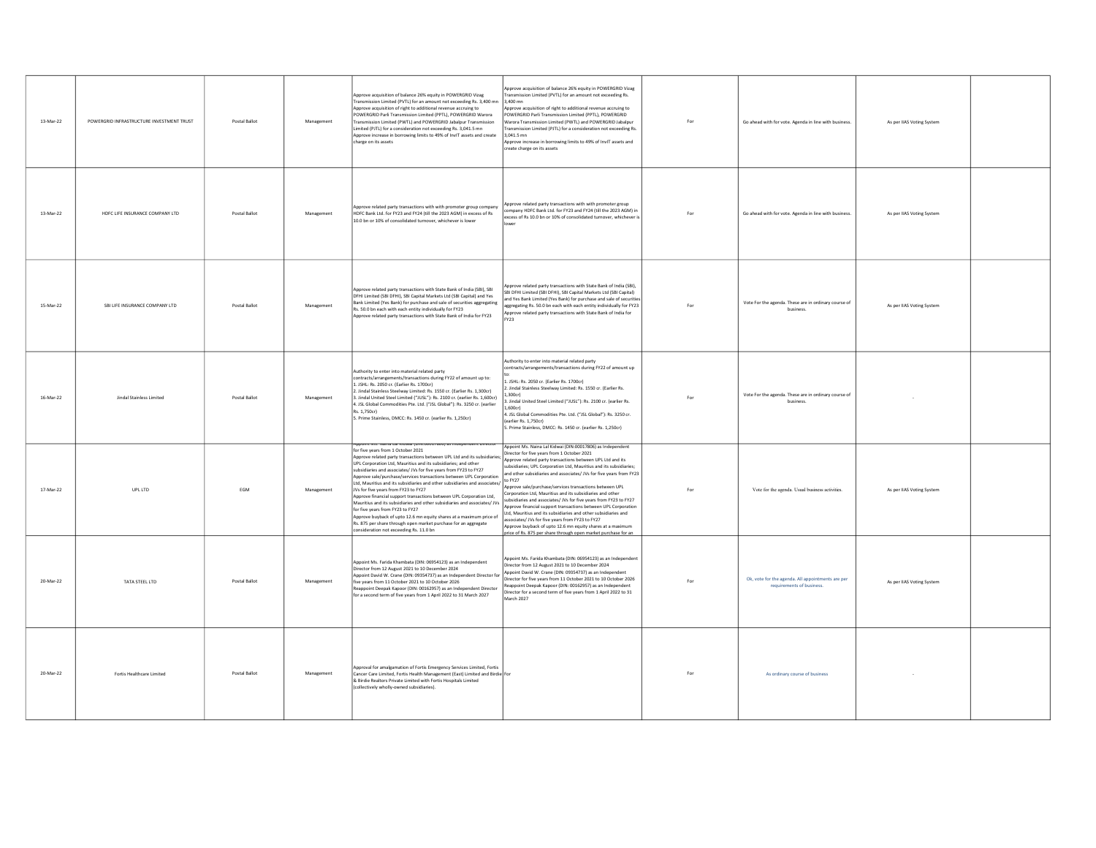| 13-Mar-22 | POWERGRID INFRASTRUCTURE INVESTMENT TRUST | Postal Ballot | Management | Approve acquisition of balance 26% equity in POWERGRID Vizag<br>Fransmission Limited (PVTL) for an amount not exceeding Rs. 3,400 mn<br>Approve acquisition of right to additional revenue accruing to<br>POWERGRID Parli Transmission Limited (PPTL), POWERGRID Warora<br>Fransmission Limited (PWTL) and POWERGRID Jabalpur Transmission<br>mited (PJTL) for a consideration not exceeding Rs. 3,041.5 mn<br>Approve increase in borrowing limits to 49% of InvIT assets and create<br>harge on its assets                                                                                                                                                                                                                                                                                                                                                                                           | oprove acquisition of balance 26% equity in POWERGRID Vizag<br>Fransmission Limited (PVTL) for an amount not exceeding Rs.<br>3.400 mn<br>oprove acquisition of right to additional revenue accruing to<br>OWERGRID Parli Transmission Limited (PPTL), POWERGRID<br>Warora Transmission Limited (PWTL) and POWERGRID Jabalpur<br>ansmission Limited (PJTL) for a consideration not exceeding Rs.<br>3.041.5 mn<br>pprove increase in borrowing limits to 49% of InvIT assets and<br>create charge on its assets                                                                                                                                                                                                                                                                                                                     | For | Go ahead with for vote. Agenda in line with business.                          | As per IIAS Voting System |  |
|-----------|-------------------------------------------|---------------|------------|--------------------------------------------------------------------------------------------------------------------------------------------------------------------------------------------------------------------------------------------------------------------------------------------------------------------------------------------------------------------------------------------------------------------------------------------------------------------------------------------------------------------------------------------------------------------------------------------------------------------------------------------------------------------------------------------------------------------------------------------------------------------------------------------------------------------------------------------------------------------------------------------------------|-------------------------------------------------------------------------------------------------------------------------------------------------------------------------------------------------------------------------------------------------------------------------------------------------------------------------------------------------------------------------------------------------------------------------------------------------------------------------------------------------------------------------------------------------------------------------------------------------------------------------------------------------------------------------------------------------------------------------------------------------------------------------------------------------------------------------------------|-----|--------------------------------------------------------------------------------|---------------------------|--|
| 13-Mar-22 | HDFC LIFE INSURANCE COMPANY LTD           | Postal Ballot | Management | Approve related party transactions with with promoter group company<br>HDFC Bank Ltd. for FY23 and FY24 (till the 2023 AGM) in excess of Rs<br>10.0 bn or 10% of consolidated turnover, whichever is lower                                                                                                                                                                                                                                                                                                                                                                                                                                                                                                                                                                                                                                                                                             | pprove related party transactions with with promoter group<br>ompany HDFC Bank Ltd. for FY23 and FY24 (till the 2023 AGM) in<br>kcess of Rs 10.0 bn or 10% of consolidated turnover, whichever is                                                                                                                                                                                                                                                                                                                                                                                                                                                                                                                                                                                                                                   | For | Go ahead with for vote. Agenda in line with business.                          | As per IIAS Voting System |  |
| 15-Mar-22 | SBI LIFE INSURANCE COMPANY LTD            | Postal Ballot | Management | Approve related party transactions with State Bank of India (SBI), SBI<br>DFHI Limited (SBI DFHI), SBI Capital Markets Ltd (SBI Capital) and Yes<br>Bank Limited (Yes Bank) for purchase and sale of securities aggregating<br>Rs. 50.0 bn each with each entity individually for FY23<br>Approve related party transactions with State Bank of India for FY23                                                                                                                                                                                                                                                                                                                                                                                                                                                                                                                                         | pprove related party transactions with State Bank of India (SBI),<br>BI DFHI Limited (SBI DFHI), SBI Capital Markets Ltd (SBI Capital)<br>and Yes Bank Limited (Yes Bank) for purchase and sale of securities<br>aggregating Rs. 50.0 bn each with each entity individually for FY23<br>pprove related party transactions with State Bank of India for<br>Y73                                                                                                                                                                                                                                                                                                                                                                                                                                                                       | For | Vote For the agenda. These are in ordinary course of<br>business.              | As per IIAS Voting System |  |
| 16-Mar-22 | Jindal Stainless Limited                  | Postal Ballot | Management | Authority to enter into material related party<br>contracts/arrangements/transactions during FY22 of amount up to:<br>1. JSHL: Rs. 2050 cr. (Earlier Rs. 1700cr)<br>Jindal Stainless Steelway Limited: Rs. 1550 cr. (Earlier Rs. 1,300cr)<br>. Jindal United Steel Limited ("JUSL"): Rs. 2100 cr. (earlier Rs. 1,600cr)<br>1. JSL Global Commodities Pte. Ltd. ("JSL Global"): Rs. 3250 cr. (earlier<br>Rs. 1.750cr)<br>5. Prime Stainless, DMCC: Rs. 1450 cr. (earlier Rs. 1,250cr)                                                                                                                                                                                                                                                                                                                                                                                                                   | uthority to enter into material related party<br>contracts/arrangements/transactions during FY22 of amount up<br>L. JSHL: Rs. 2050 cr. (Earlier Rs. 1700cr)<br>Jindal Stainless Steelway Limited: Rs. 1550 cr. (Earlier Rs.<br>300cc<br>lindal United Steel Limited ("IUSI"): Rs. 2100 or Jearlier Rs.<br>1.600cc<br>1. JSL Global Commodities Pte. Ltd. ("JSL Global"): Rs. 3250 cr.<br>earlier Rs. 1,750cr)<br>5. Prime Stainless, DMCC: Rs. 1450 cr. (earlier Rs. 1,250cr)                                                                                                                                                                                                                                                                                                                                                       | For | Vote For the agenda. These are in ordinary course of<br>husiness               |                           |  |
| 17-Mar-22 | UPL LTD                                   | EGM           | Management | for five years from 1 October 2021<br>Approve related party transactions between UPL Ltd and its subsidiaries:<br>UPL Corporation Ltd. Mauritius and its subsidiaries: and other<br>ubsidiaries and associates/ IVs for five years from FY23 to FY27<br>Approve sale/purchase/services transactions between UPL Corporation<br>Ltd, Mauritius and its subsidiaries and other subsidiaries and associates/<br>We fact it was a subsidiaries and other subsidiaries and associates/<br>JVs for five years from FY23 to FY27<br>Approve financial support transactions between UPL Corporation Ltd,<br>Mauritius and its subsidiaries and other subsidiaries and associates/ JVs<br>for five years from FY23 to FY27<br>Approve buyback of upto 12.6 mn equity shares at a maximum price of<br>Rs. 875 per share through open market purchase for an aggregate<br>consideration not exceeding Rs. 11.0 bn | Appoint Ms. Naina Lal Kidwai (DIN:00017806) as Independent<br>Director for five years from 1 October 2021<br>Approve related party transactions between UPL Ltd and its<br>ubsidiaries; UPL Corporation Ltd, Mauritius and its subsidiaries;<br>and other subsidiaries and associates/ JVs for five years from FY23<br>pprove sale/purchase/services transactions between UPL<br>orporation Ltd. Mauritius and its subsidiaries and other<br>subsidiaries and associates/ JVs for five years from FY23 to FY27<br>pprove financial support transactions between UPL Corporation<br>Ltd. Mauritius and its subsidiaries and other subsidiaries and<br>sociates/ JVs for five years from FY23 to FY27<br>Approve buyback of upto 12.6 mn equity shares at a maximum<br>price of Rs. 875 per share through open market purchase for an | For | Vote for the agenda. Usual business activities.                                | As per IIAS Voting System |  |
| 20-Mar-22 | TATA STEEL LTD                            | Postal Ballot | Management | Appoint Ms. Farida Khambata (DIN: 06954123) as an Independent<br>Director from 12 August 2021 to 10 December 2024<br>Appoint David W. Crane (DIN: 09354737) as an Independent Director fo<br>five years from 11 October 2021 to 10 October 2026<br>eappoint Deepak Kapoor (DIN: 00162957) as an Independent Director<br>for a second term of five years from 1 April 2022 to 31 March 2027                                                                                                                                                                                                                                                                                                                                                                                                                                                                                                             | Appoint Ms. Farida Khambata (DIN: 06954123) as an Independent<br>Director from 12 August 2021 to 10 December 2024<br>opoint David W. Crane (DIN: 09354737) as an Independent<br>Director for five years from 11 October 2021 to 10 October 2026<br>eappoint Deepak Kapoor (DIN: 00162957) as an Independent<br>lirector for a second term of five years from 1 April 2022 to 31<br>arch 2027                                                                                                                                                                                                                                                                                                                                                                                                                                        | For | Ok, vote for the agenda. All appointments are per<br>requirements of business. | As per IIAS Voting System |  |
| 20-Mar-22 | Fortis Healthcare Limited                 | Postal Ballot | Managemen  | Approval for amalgamation of Fortis Emergency Services Limited, Fortis<br>Cancer Care Limited, Fortis Health Management (East) Limited and Birdie For<br>& Birdie Realtors Private Limited with Fortis Hospitals Limited<br>collectively wholly-owned subsidiaries).                                                                                                                                                                                                                                                                                                                                                                                                                                                                                                                                                                                                                                   |                                                                                                                                                                                                                                                                                                                                                                                                                                                                                                                                                                                                                                                                                                                                                                                                                                     | For | As ordinary course of business                                                 |                           |  |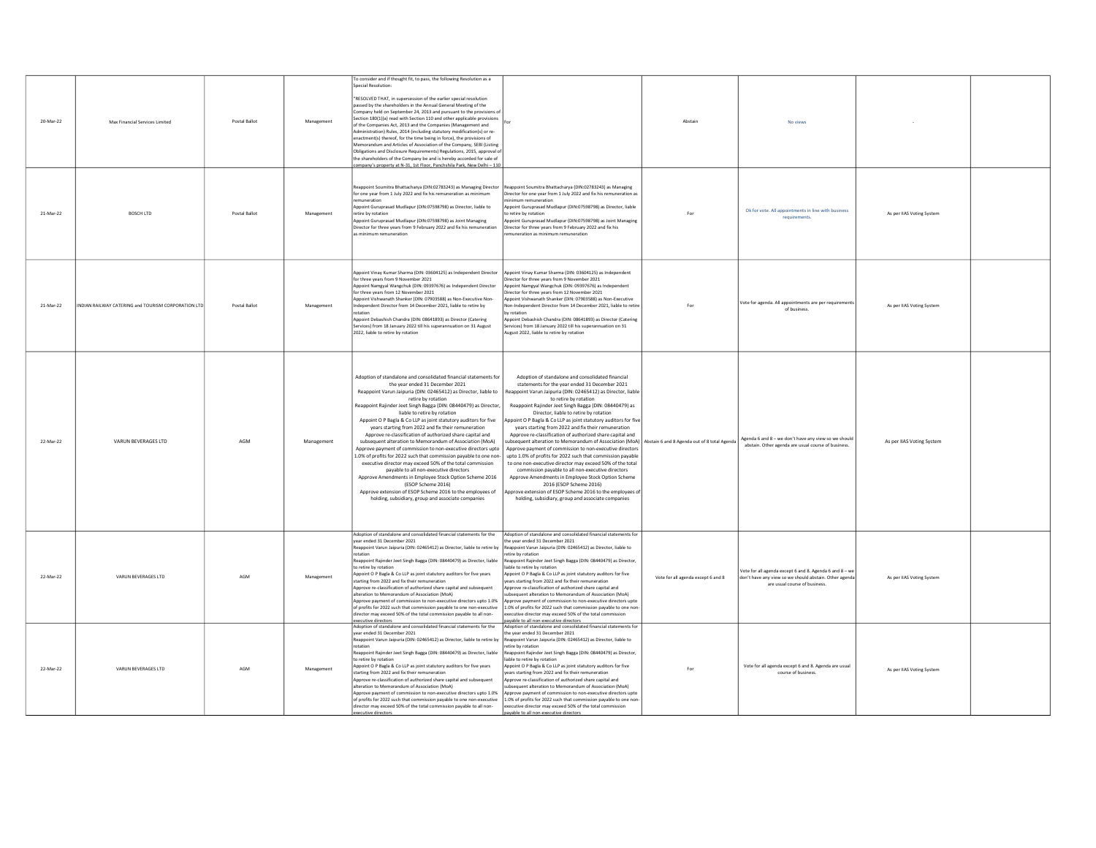| 20-Mar-22 | Max Financial Services Limited                      | Postal Ballot | Management | To consider and if thought fit, to pass, the following Resolution as a<br>Special Resolution:<br>"RESOLVED THAT, in supersession of the earlier special resolution<br>bassed by the shareholders in the Annual General Meeting of the<br>.<br>Company held on September 24, 2013 and pursuant to the provisions of<br>Section 180(1)(a) read with Section 110 and other applicable provisions<br>of the Companies Act, 2013 and the Companies (Management and<br>Administration) Rules, 2014 (including statutory modification(s) or re-<br>enactment(s) thereof, for the time being in force), the provisions of<br>Memorandum and Articles of Association of the Company, SEBI (Listing<br>Obligations and Disclosure Requirements) Regulations, 2015, approval o<br>the shareholders of the Company be and is hereby accorded for sale of<br>ompany's property at N-31, 1st Floor, Panchshila Park, New Delhi - 110                                                                               |                                                                                                                                                                                                                                                                                                                                                                                                                                                                                                                                                                                                                                                                                                                                                                                                                                                                                                                                                                                                                                                | Abstain                            | No views                                                                                                                                           |                           |  |
|-----------|-----------------------------------------------------|---------------|------------|------------------------------------------------------------------------------------------------------------------------------------------------------------------------------------------------------------------------------------------------------------------------------------------------------------------------------------------------------------------------------------------------------------------------------------------------------------------------------------------------------------------------------------------------------------------------------------------------------------------------------------------------------------------------------------------------------------------------------------------------------------------------------------------------------------------------------------------------------------------------------------------------------------------------------------------------------------------------------------------------------|------------------------------------------------------------------------------------------------------------------------------------------------------------------------------------------------------------------------------------------------------------------------------------------------------------------------------------------------------------------------------------------------------------------------------------------------------------------------------------------------------------------------------------------------------------------------------------------------------------------------------------------------------------------------------------------------------------------------------------------------------------------------------------------------------------------------------------------------------------------------------------------------------------------------------------------------------------------------------------------------------------------------------------------------|------------------------------------|----------------------------------------------------------------------------------------------------------------------------------------------------|---------------------------|--|
| 21-Mar-22 | <b>BOSCH LTD</b>                                    | Postal Ballot | Management | Reappoint Soumitra Bhattacharya (DIN:02783243) as Managing Director<br>for one year from 1 July 2022 and fix his remuneration as minimum<br>remuneration<br>Appoint Guruprasad Mudlapur (DIN:07598798) as Director, liable to<br>retire by rotation<br>Appoint Guruprasad Mudlapur (DIN:07598798) as Joint Managing<br>Director for three years from 9 February 2022 and fix his remuneration<br>minimum remuneration                                                                                                                                                                                                                                                                                                                                                                                                                                                                                                                                                                                | Reappoint Soumitra Bhattacharya (DIN:02783243) as Managing<br>Director for one year from 1 July 2022 and fix his remuneration as<br>nimum remuneration<br>opoint Guruprasad Mudlapur (DIN:07598798) as Director, liable<br>p retire by rotation<br>opoint Guruprasad Mudlapur (DIN:07598798) as Joint Managing<br>Director for three years from 9 February 2022 and fix his<br>nuneration as minimum remuneration                                                                                                                                                                                                                                                                                                                                                                                                                                                                                                                                                                                                                              | For                                | Ok for vote. All appointments in line with business<br>requirements.                                                                               | As per IIAS Voting System |  |
| 21-Mar-22 | INDIAN RAILWAY CATERING and TOURISM CORPORATION LTD | Postal Ballot | Management | Appoint Vinay Kumar Sharma (DIN: 03604125) as Independent Director<br>for three years from 9 November 2021<br>Appoint Namgyal Wangchuk (DIN: 09397676) as Independent Director<br>for three years from 12 November 2021<br>Appoint Vishwanath Shanker (DIN: 07903588) as Non-Executive Non-<br>Independent Director from 14 December 2021, liable to retire by<br>rotation<br>Annoint Debashish Chandra (DIN: 08641893) as Director (Catering<br>Services) from 18 January 2022 till his superannuation on 31 August<br>2022. liable to retire by rotation                                                                                                                                                                                                                                                                                                                                                                                                                                           | ppoint Vinay Kumar Sharma (DIN: 03604125) as Independent<br>rector for three years from 9 November 2021<br>ppoint Namgyal Wangchuk (DIN: 09397676) as Independent<br>irector for three years from 12 November 2021<br>ppoint Vishwanath Shanker (DIN: 07903588) as Non-Executive<br>Non-Independent Director from 14 December 2021, liable to retire<br>ov rotation<br>Annoint Debashish Chandra (DIN: OR641893) as Director (Catering<br>iervices) from 18 January 2022 till his superannuation on 31<br>ugust 2022, liable to retire by rotation                                                                                                                                                                                                                                                                                                                                                                                                                                                                                             | For                                | Vote for agenda. All appointments are per requirement<br>of business.                                                                              | As per IIAS Voting System |  |
| 22-Mar-22 | VARUN BEVERAGES LTD                                 | AGM           | Management | Adoption of standalone and consolidated financial statements for<br>the year ended 31 December 2021<br>Reappoint Varun Jaipuria (DIN: 02465412) as Director, liable to<br>retire by rotation<br>Reappoint Rajinder Jeet Singh Bagga (DIN: 08440479) as Director,<br>liable to retire by rotation<br>Appoint O P Bagla & Co LLP as joint statutory auditors for five<br>years starting from 2022 and fix their remuneration<br>Approve re-classification of authorized share capital and<br>subsequent alteration to Memorandum of Association (MoA)<br>Approve payment of commission to non-executive directors upto<br>1.0% of profits for 2022 such that commission payable to one non-<br>executive director may exceed 50% of the total commission<br>payable to all non-executive directors<br>Approve Amendments in Employee Stock Option Scheme 2016<br>(ESOP Scheme 2016)<br>Approve extension of ESOP Scheme 2016 to the employees of<br>holding, subsidiary, group and associate companies | Adoption of standalone and consolidated financial<br>statements for the year ended 31 December 2021<br>leappoint Varun Jaipuria (DIN: 02465412) as Director, liable<br>to retire by rotation<br>Reappoint Rajinder Jeet Singh Bagga (DIN: 08440479) as<br>Director, liable to retire by rotation<br>spooint O P Bagla & Co LLP as joint statutory auditors for five<br>years starting from 2022 and fix their remuneration<br>Approve re-classification of authorized share capital and<br>ubsequent alteration to Memorandum of Association (MoA) Abstain 6 and 8 Agenda out of 8 total Agenda<br>Approve payment of commission to non-executive directors<br>upto 1.0% of profits for 2022 such that commission payable<br>to one non-executive director may exceed 50% of the total<br>commission payable to all non-executive directors<br>Approve Amendments in Employee Stock Option Scheme<br>2016 (ESOP Scheme 2016)<br>pprove extension of ESOP Scheme 2016 to the employees of<br>holding, subsidiary, group and associate companies |                                    | Agenda 6 and 8 - we don't have any view so we should<br>abstain. Other agenda are usual course of business.                                        | As per IIAS Voting System |  |
| 22-Mar-22 | VARUN BEVERAGES LTD                                 | <b>AGM</b>    | Management | Adoption of standalone and consolidated financial statements for the<br>vear ended 31 December 2021<br>eappoint Varun Jaipuria (DIN: 02465412) as Director, liable to retire by<br>rotation<br>Reappoint Rajinder Jeet Singh Bagga (DIN: 08440479) as Director, liable<br>to retire by rotation<br>Appoint O P Bagla & Co LLP as joint statutory auditors for five years<br>starting from 2022 and fix their remuneration<br>Annroye re-classification of authorized share canital and subsequent<br>alteration to Memorandum of Association (MoA)<br>Approve payment of commission to non-executive directors upto 1.0%<br>of profits for 2022 such that commission payable to one non-executive<br>director may exceed 50% of the total commission payable to all non-<br>executive directors                                                                                                                                                                                                      | Adoption of standalone and consolidated financial statements for<br>he year ended 31 December 2021<br>appoint Varun Jaipuria (DIN: 02465412) as Director, liable to<br>etire by rotation<br>eappoint Rajinder Jeet Singh Bagga (DIN: 08440479) as Director,<br>jable to retire by rotation<br>Appoint O P Bagla & Co LLP as joint statutory auditors for five<br>ears starting from 2022 and fix their remuneration<br>hne Istinse ansde bestondtus to notisatitized share that<br>Ibsequent alteration to Memorandum of Association (MoA)<br>pprove payment of commission to non-executive directors upto<br>1.0% of profits for 2022 such that commission payable to one non-<br>ecutive director may exceed 50% of the total commission<br>payable to all non-executive directors                                                                                                                                                                                                                                                           | Vote for all agenda except 6 and 8 | Vote for all agenda except 6 and 8. Agenda 6 and 8 - we<br>don't have any view so we should abstain. Other agenda<br>are usual course of business. | As per IIAS Voting System |  |
| 22-Mar-22 | VARUN BEVERAGES LTD                                 | AGM           | Management | Adoption of standalone and consolidated financial statements for the<br>vear ended 31 December 2021<br>Reappoint Varun Jaipuria (DIN: 02465412) as Director, liable to retire by<br>rotation<br>Reappoint Rajinder Jeet Singh Bagga (DIN: 08440479) as Director, liable<br>to retire by rotation<br>Appoint O P Bagla & Co LLP as joint statutory auditors for five years<br>starting from 2022 and fix their remuneration<br>Approve re-classification of authorized share capital and subsequent<br>Iteration to Memorandum of Association (MoA)<br>Approve nayment of commission to non-executive directors unto 1.0%<br>of profits for 2022 such that commission payable to one non-executive<br>irector may exceed 50% of the total commission payable to all non-<br>cutive directors                                                                                                                                                                                                          | Adoption of standalone and consolidated financial statements for<br>he year ended 31 December 2021<br>Reappoint Varun Jaipuria (DIN: 02465412) as Director, liable to<br>etire by rotation<br>eappoint Rajinder Jeet Singh Bagga (DIN: 08440479) as Director,<br>iable to retire by rotation<br>Appoint O P Bagla & Co LLP as joint statutory auditors for five<br>ears starting from 2022 and fix their remuneration<br>Approve re-classification of authorized share capital and<br>bsequent alteration to Memorandum of Association (MoA)<br>parave payment of commission to non-executive directors unto<br>1.0% of profits for 2022 such that commission payable to one non-<br>ecutive director may exceed 50% of the total commission<br>ble to all non-executive directo                                                                                                                                                                                                                                                               | For                                | Vote for all agenda except 6 and 8. Agenda are usual<br>course of business.                                                                        | As per IIAS Voting System |  |